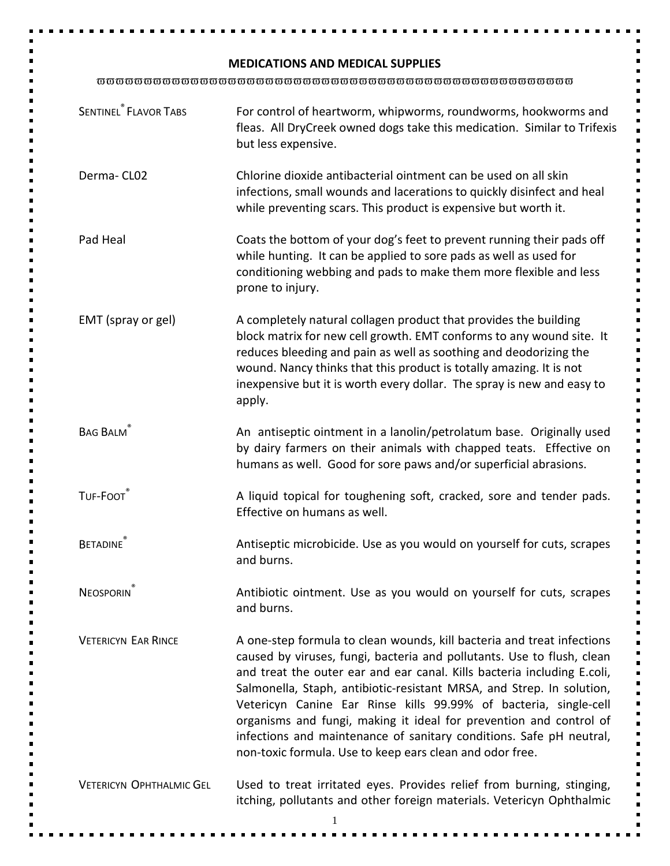## **MEDICATIONS AND MEDICAL SUPPLIES**

ϖϖϖϖϖϖϖϖϖϖϖϖϖϖϖϖϖϖϖϖϖϖϖϖϖϖϖϖϖϖϖϖϖϖϖϖϖϖϖϖϖϖϖϖϖϖϖϖϖϖϖ

| <b>SENTINEL<sup>®</sup></b> FLAVOR TABS | For control of heartworm, whipworms, roundworms, hookworms and<br>fleas. All DryCreek owned dogs take this medication. Similar to Trifexis<br>but less expensive.                                                                                                                                                                                                                                                                                                                                                                                                                 |
|-----------------------------------------|-----------------------------------------------------------------------------------------------------------------------------------------------------------------------------------------------------------------------------------------------------------------------------------------------------------------------------------------------------------------------------------------------------------------------------------------------------------------------------------------------------------------------------------------------------------------------------------|
| Derma-CL02                              | Chlorine dioxide antibacterial ointment can be used on all skin<br>infections, small wounds and lacerations to quickly disinfect and heal<br>while preventing scars. This product is expensive but worth it.                                                                                                                                                                                                                                                                                                                                                                      |
| Pad Heal                                | Coats the bottom of your dog's feet to prevent running their pads off<br>while hunting. It can be applied to sore pads as well as used for<br>conditioning webbing and pads to make them more flexible and less<br>prone to injury.                                                                                                                                                                                                                                                                                                                                               |
| EMT (spray or gel)                      | A completely natural collagen product that provides the building<br>block matrix for new cell growth. EMT conforms to any wound site. It<br>reduces bleeding and pain as well as soothing and deodorizing the<br>wound. Nancy thinks that this product is totally amazing. It is not<br>inexpensive but it is worth every dollar. The spray is new and easy to<br>apply.                                                                                                                                                                                                          |
| <b>BAG BALM</b>                         | An antiseptic ointment in a lanolin/petrolatum base. Originally used<br>by dairy farmers on their animals with chapped teats. Effective on<br>humans as well. Good for sore paws and/or superficial abrasions.                                                                                                                                                                                                                                                                                                                                                                    |
| TUF-FOOT                                | A liquid topical for toughening soft, cracked, sore and tender pads.<br>Effective on humans as well.                                                                                                                                                                                                                                                                                                                                                                                                                                                                              |
| <b>BETADINE</b>                         | Antiseptic microbicide. Use as you would on yourself for cuts, scrapes<br>and burns.                                                                                                                                                                                                                                                                                                                                                                                                                                                                                              |
| <b>NEOSPORIN</b>                        | Antibiotic ointment. Use as you would on yourself for cuts, scrapes<br>and burns.                                                                                                                                                                                                                                                                                                                                                                                                                                                                                                 |
| <b>VETERICYN EAR RINCE</b>              | A one-step formula to clean wounds, kill bacteria and treat infections<br>caused by viruses, fungi, bacteria and pollutants. Use to flush, clean<br>and treat the outer ear and ear canal. Kills bacteria including E.coli,<br>Salmonella, Staph, antibiotic-resistant MRSA, and Strep. In solution,<br>Vetericyn Canine Ear Rinse kills 99.99% of bacteria, single-cell<br>organisms and fungi, making it ideal for prevention and control of<br>infections and maintenance of sanitary conditions. Safe pH neutral,<br>non-toxic formula. Use to keep ears clean and odor free. |
| <b>VETERICYN OPHTHALMIC GEL</b>         | Used to treat irritated eyes. Provides relief from burning, stinging,<br>itching, pollutants and other foreign materials. Vetericyn Ophthalmic                                                                                                                                                                                                                                                                                                                                                                                                                                    |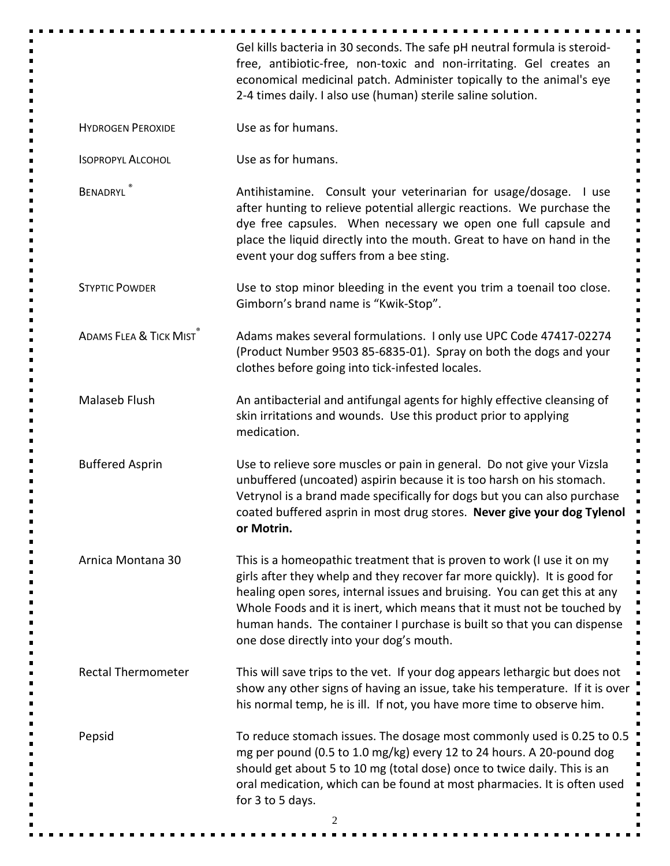|                                   | Gel kills bacteria in 30 seconds. The safe pH neutral formula is steroid-<br>free, antibiotic-free, non-toxic and non-irritating. Gel creates an<br>economical medicinal patch. Administer topically to the animal's eye<br>2-4 times daily. I also use (human) sterile saline solution.                                                                                                                                           |
|-----------------------------------|------------------------------------------------------------------------------------------------------------------------------------------------------------------------------------------------------------------------------------------------------------------------------------------------------------------------------------------------------------------------------------------------------------------------------------|
| <b>HYDROGEN PEROXIDE</b>          | Use as for humans.                                                                                                                                                                                                                                                                                                                                                                                                                 |
| <b>ISOPROPYL ALCOHOL</b>          | Use as for humans.                                                                                                                                                                                                                                                                                                                                                                                                                 |
| BENADRYL                          | Antihistamine. Consult your veterinarian for usage/dosage.<br>l use<br>after hunting to relieve potential allergic reactions. We purchase the<br>dye free capsules. When necessary we open one full capsule and<br>place the liquid directly into the mouth. Great to have on hand in the<br>event your dog suffers from a bee sting.                                                                                              |
| <b>STYPTIC POWDER</b>             | Use to stop minor bleeding in the event you trim a toenail too close.<br>Gimborn's brand name is "Kwik-Stop".                                                                                                                                                                                                                                                                                                                      |
| <b>ADAMS FLEA &amp; TICK MIST</b> | Adams makes several formulations. I only use UPC Code 47417-02274<br>(Product Number 9503 85-6835-01). Spray on both the dogs and your<br>clothes before going into tick-infested locales.                                                                                                                                                                                                                                         |
| Malaseb Flush                     | An antibacterial and antifungal agents for highly effective cleansing of<br>skin irritations and wounds. Use this product prior to applying<br>medication.                                                                                                                                                                                                                                                                         |
| <b>Buffered Asprin</b>            | Use to relieve sore muscles or pain in general. Do not give your Vizsla<br>unbuffered (uncoated) aspirin because it is too harsh on his stomach.<br>Vetrynol is a brand made specifically for dogs but you can also purchase<br>coated buffered asprin in most drug stores. Never give your dog Tylenol<br>or Motrin.                                                                                                              |
| Arnica Montana 30                 | This is a homeopathic treatment that is proven to work (I use it on my<br>girls after they whelp and they recover far more quickly). It is good for<br>healing open sores, internal issues and bruising. You can get this at any<br>Whole Foods and it is inert, which means that it must not be touched by<br>human hands. The container I purchase is built so that you can dispense<br>one dose directly into your dog's mouth. |
| <b>Rectal Thermometer</b>         | This will save trips to the vet. If your dog appears lethargic but does not<br>show any other signs of having an issue, take his temperature. If it is over<br>his normal temp, he is ill. If not, you have more time to observe him.                                                                                                                                                                                              |
| Pepsid                            | To reduce stomach issues. The dosage most commonly used is 0.25 to 0.5<br>mg per pound (0.5 to 1.0 mg/kg) every 12 to 24 hours. A 20-pound dog<br>should get about 5 to 10 mg (total dose) once to twice daily. This is an<br>oral medication, which can be found at most pharmacies. It is often used<br>for 3 to 5 days.                                                                                                         |
|                                   | 2                                                                                                                                                                                                                                                                                                                                                                                                                                  |

٠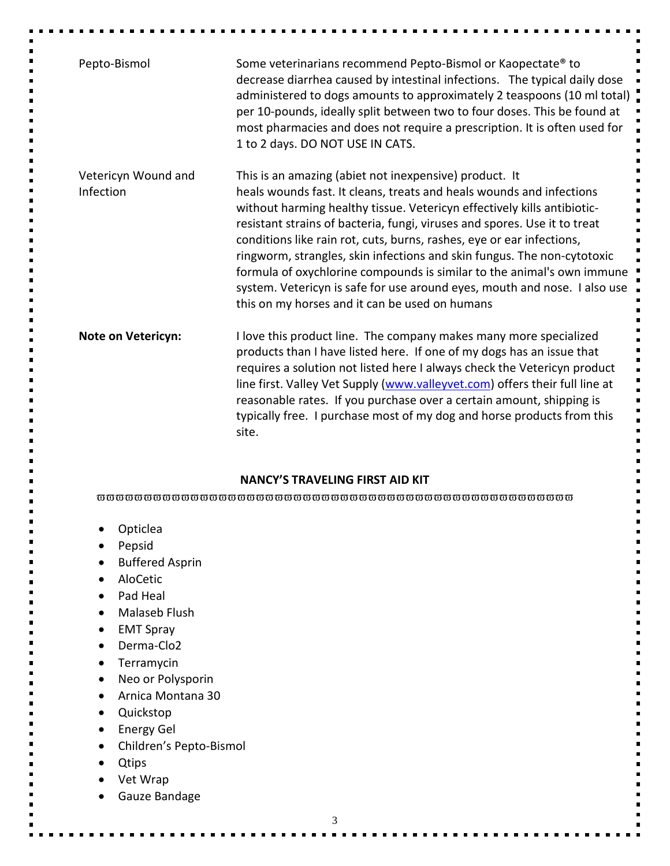| Pepto-Bismol                     | Some veterinarians recommend Pepto-Bismol or Kaopectate® to<br>decrease diarrhea caused by intestinal infections. The typical daily dose<br>administered to dogs amounts to approximately 2 teaspoons (10 ml total)                                                                                                                                                                                                                                                                                                                                                                                                                                 |
|----------------------------------|-----------------------------------------------------------------------------------------------------------------------------------------------------------------------------------------------------------------------------------------------------------------------------------------------------------------------------------------------------------------------------------------------------------------------------------------------------------------------------------------------------------------------------------------------------------------------------------------------------------------------------------------------------|
|                                  | per 10-pounds, ideally split between two to four doses. This be found at<br>most pharmacies and does not require a prescription. It is often used for<br>1 to 2 days. DO NOT USE IN CATS.                                                                                                                                                                                                                                                                                                                                                                                                                                                           |
| Vetericyn Wound and<br>Infection | This is an amazing (abiet not inexpensive) product. It<br>heals wounds fast. It cleans, treats and heals wounds and infections<br>without harming healthy tissue. Vetericyn effectively kills antibiotic-<br>resistant strains of bacteria, fungi, viruses and spores. Use it to treat<br>conditions like rain rot, cuts, burns, rashes, eye or ear infections,<br>ringworm, strangles, skin infections and skin fungus. The non-cytotoxic<br>formula of oxychlorine compounds is similar to the animal's own immune<br>system. Vetericyn is safe for use around eyes, mouth and nose. I also use<br>this on my horses and it can be used on humans |
| <b>Note on Vetericyn:</b>        | I love this product line. The company makes many more specialized<br>products than I have listed here. If one of my dogs has an issue that<br>requires a solution not listed here I always check the Vetericyn product<br>line first. Valley Vet Supply (www.valleyvet.com) offers their full line at<br>reasonable rates. If you purchase over a certain amount, shipping is<br>typically free. I purchase most of my dog and horse products from this<br>site.                                                                                                                                                                                    |

## **NANCY'S TRAVELING FIRST AID KIT**

ϖϖϖϖϖϖϖϖϖϖϖϖϖϖϖϖϖϖϖϖϖϖϖϖϖϖϖϖϖϖϖϖϖϖϖϖϖϖϖϖϖϖϖϖϖϖϖϖϖϖϖ

- Opticlea
- Pepsid
- Buffered Asprin
- AloCetic
- Pad Heal
- Malaseb Flush
- EMT Spray
- Derma-Clo2
- Terramycin
- Neo or Polysporin
- Arnica Montana 30
- Quickstop
- Energy Gel
- Children's Pepto-Bismol
- Qtips
- Vet Wrap
- Gauze Bandage